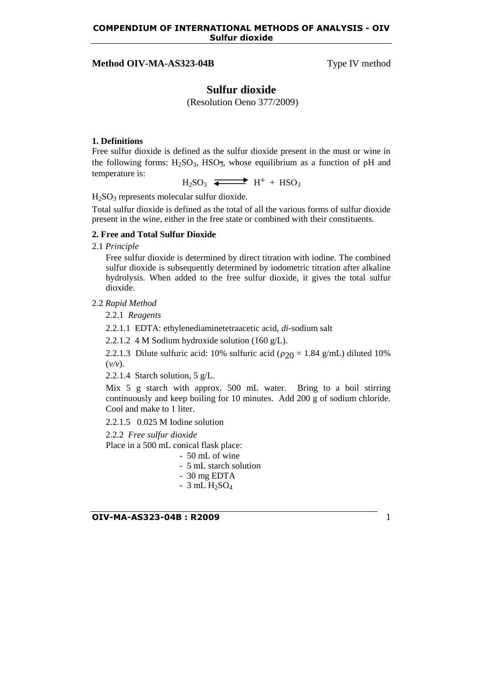# **Method OIV-MA-AS323-04B** Type IV method

# **Sulfur dioxide**

(Resolution Oeno 377/2009)

# **1. Definitions**

Free sulfur dioxide is defined as the sulfur dioxide present in the must or wine in the following forms:  $H_2SO_3$ ,  $HSO_3$ , whose equilibrium as a function of pH and temperature is:

 $H_2SO_3$   $\longrightarrow$   $H^+ + HSO_3$ 

H2SO<sup>3</sup> represents molecular sulfur dioxide.

Total sulfur dioxide is defined as the total of all the various forms of sulfur dioxide present in the wine, either in the free state or combined with their constituents.

#### **2. Free and Total Sulfur Dioxide**

2.1 *Principle*

Free sulfur dioxide is determined by direct titration with iodine. The combined sulfur dioxide is subsequently determined by iodometric titration after alkaline hydrolysis. When added to the free sulfur dioxide, it gives the total sulfur dioxide.

## 2.2 *Rapid Method*

2.2.1 *Reagents*

2.2.1.1 EDTA: ethylenediaminetetraacetic acid, *di-*sodium salt

2.2.1.2 4 M Sodium hydroxide solution (160 g/L).

2.2.1.3 Dilute sulfuric acid: 10% sulfuric acid ( $\rho_{20}$  = 1.84 g/mL) diluted 10% (*v/v*).

2.2.1.4 Starch solution, 5 g/L.

Mix 5 g starch with approx. 500 mL water. Bring to a boil stirring continuously and keep boiling for 10 minutes. Add 200 g of sodium chloride. Cool and make to 1 liter.

2.2.1.5 0.025 M Iodine solution

2.2.2 *Free sulfur dioxide*

Place in a 500 mL conical flask place:

- 50 mL of wine
- 5 mL starch solution
- 30 mg EDTA
- $3$  mL  $H<sub>2</sub>SO<sub>4</sub>$

**OIV-MA-AS323-04B : R2009** 1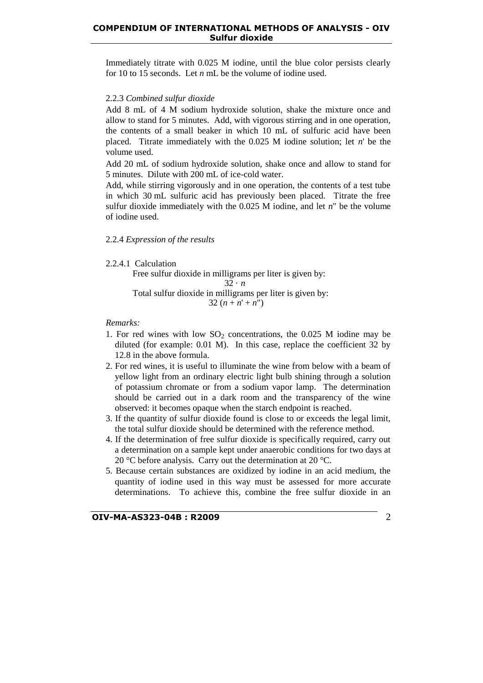#### **COMPENDIUM OF INTERNATIONAL METHODS OF ANALYSIS - OIV Sulfur dioxide**

Immediately titrate with 0.025 M iodine, until the blue color persists clearly for 10 to 15 seconds. Let *n* mL be the volume of iodine used.

# 2.2.3 *Combined sulfur dioxide*

Add 8 mL of 4 M sodium hydroxide solution, shake the mixture once and allow to stand for 5 minutes. Add, with vigorous stirring and in one operation, the contents of a small beaker in which 10 mL of sulfuric acid have been placed. Titrate immediately with the 0.025 M iodine solution; let *n*' be the volume used.

Add 20 mL of sodium hydroxide solution, shake once and allow to stand for 5 minutes. Dilute with 200 mL of ice-cold water.

Add, while stirring vigorously and in one operation, the contents of a test tube in which 30 mL sulfuric acid has previously been placed. Titrate the free sulfur dioxide immediately with the 0.025 M iodine, and let *n*" be the volume of iodine used.

#### 2.2.4 *Expression of the results*

2.2.4.1 Calculation

Free sulfur dioxide in milligrams per liter is given by:

$$
32 \cdot n
$$

 Total sulfur dioxide in milligrams per liter is given by: 32  $(n + n' + n'')$ 

*Remarks:*

- 1. For red wines with low  $SO_2$  concentrations, the 0.025 M iodine may be diluted (for example: 0.01 M). In this case, replace the coefficient 32 by 12.8 in the above formula.
- 2. For red wines, it is useful to illuminate the wine from below with a beam of yellow light from an ordinary electric light bulb shining through a solution of potassium chromate or from a sodium vapor lamp. The determination should be carried out in a dark room and the transparency of the wine observed: it becomes opaque when the starch endpoint is reached.
- 3. If the quantity of sulfur dioxide found is close to or exceeds the legal limit, the total sulfur dioxide should be determined with the reference method.
- 4. If the determination of free sulfur dioxide is specifically required, carry out a determination on a sample kept under anaerobic conditions for two days at 20 °C before analysis. Carry out the determination at 20 °C.
- 5. Because certain substances are oxidized by iodine in an acid medium, the quantity of iodine used in this way must be assessed for more accurate determinations. To achieve this, combine the free sulfur dioxide in an

**OIV-MA-AS323-04B : R2009** 2